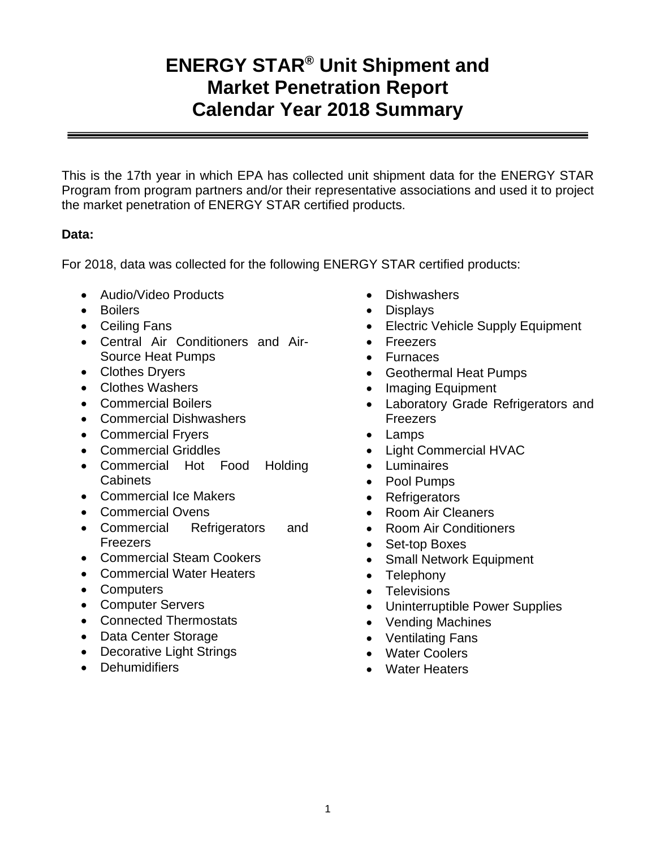# **ENERGY STAR® Unit Shipment and Market Penetration Report Calendar Year 2018 Summary**

This is the 17th year in which EPA has collected unit shipment data for the ENERGY STAR Program from program partners and/or their representative associations and used it to project the market penetration of ENERGY STAR certified products.

## **Data:**

For 2018, data was collected for the following ENERGY STAR certified products:

- Audio/Video Products
- Boilers
- Ceiling Fans
- Central Air Conditioners and Air-Source Heat Pumps
- Clothes Dryers
- Clothes Washers
- Commercial Boilers
- Commercial Dishwashers
- Commercial Fryers
- Commercial Griddles
- Commercial Hot Food Holding Cabinets
- Commercial Ice Makers
- Commercial Ovens
- Commercial Refrigerators and Freezers
- Commercial Steam Cookers
- Commercial Water Heaters
- Computers
- Computer Servers
- Connected Thermostats
- Data Center Storage
- Decorative Light Strings
- Dehumidifiers
- Dishwashers
- Displays
- Electric Vehicle Supply Equipment
- Freezers
- Furnaces
- Geothermal Heat Pumps
- Imaging Equipment
- Laboratory Grade Refrigerators and Freezers
- Lamps
- Light Commercial HVAC
- Luminaires
- Pool Pumps
- Refrigerators
- Room Air Cleaners
- Room Air Conditioners
- Set-top Boxes
- Small Network Equipment
- Telephony
- Televisions
- Uninterruptible Power Supplies
- Vending Machines
- Ventilating Fans
- Water Coolers
- Water Heaters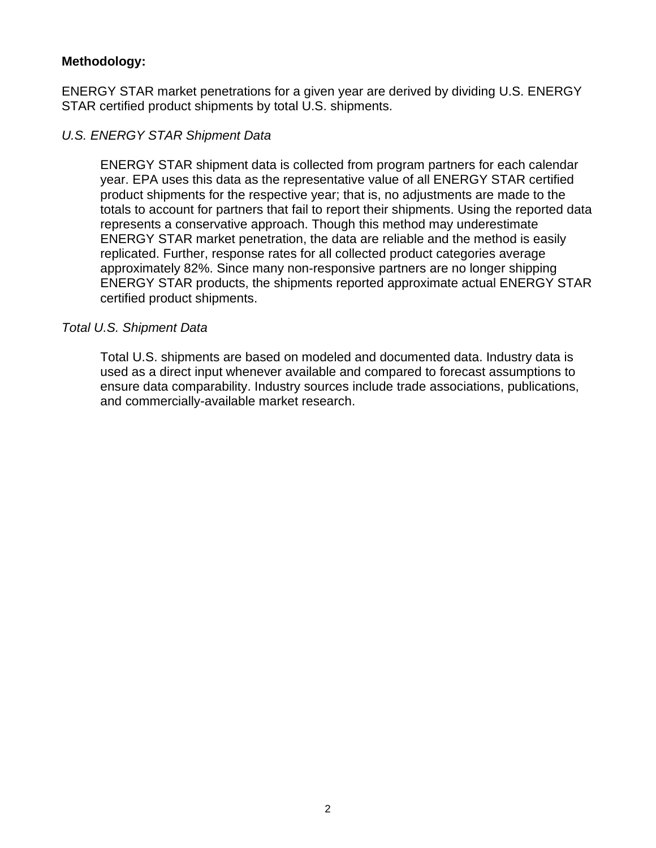#### **Methodology:**

ENERGY STAR market penetrations for a given year are derived by dividing U.S. ENERGY STAR certified product shipments by total U.S. shipments.

## *U.S. ENERGY STAR Shipment Data*

ENERGY STAR shipment data is collected from program partners for each calendar year. EPA uses this data as the representative value of all ENERGY STAR certified product shipments for the respective year; that is, no adjustments are made to the totals to account for partners that fail to report their shipments. Using the reported data represents a conservative approach. Though this method may underestimate ENERGY STAR market penetration, the data are reliable and the method is easily replicated. Further, response rates for all collected product categories average approximately 82%. Since many non-responsive partners are no longer shipping ENERGY STAR products, the shipments reported approximate actual ENERGY STAR certified product shipments.

#### *Total U.S. Shipment Data*

Total U.S. shipments are based on modeled and documented data. Industry data is used as a direct input whenever available and compared to forecast assumptions to ensure data comparability. Industry sources include trade associations, publications, and commercially-available market research.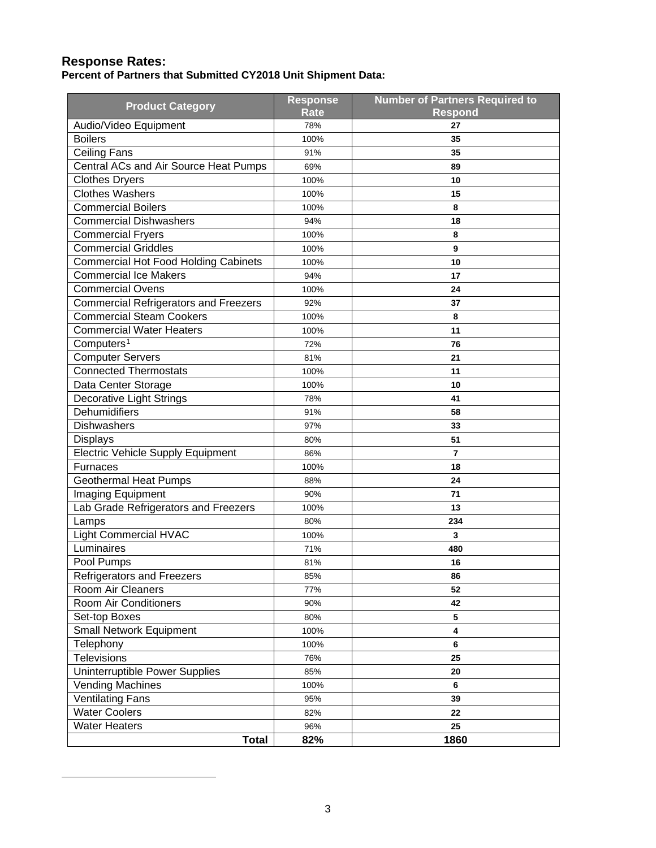#### **Response Rates:**

**Percent of Partners that Submitted CY2018 Unit Shipment Data:**

<span id="page-2-0"></span>

| <b>Product Category</b>                      | <b>Response</b><br><b>Rate</b> | <b>Number of Partners Required to</b><br><b>Respond</b> |
|----------------------------------------------|--------------------------------|---------------------------------------------------------|
| Audio/Video Equipment                        | 78%                            | 27                                                      |
| <b>Boilers</b>                               | 100%                           | 35                                                      |
| <b>Ceiling Fans</b>                          | 91%                            | 35                                                      |
| Central ACs and Air Source Heat Pumps        | 69%                            | 89                                                      |
| <b>Clothes Dryers</b>                        | 100%                           | 10                                                      |
| <b>Clothes Washers</b>                       | 100%                           | 15                                                      |
| <b>Commercial Boilers</b>                    | 100%                           | 8                                                       |
| <b>Commercial Dishwashers</b>                | 94%                            | 18                                                      |
| <b>Commercial Fryers</b>                     | 100%                           | 8                                                       |
| <b>Commercial Griddles</b>                   | 100%                           | 9                                                       |
| <b>Commercial Hot Food Holding Cabinets</b>  | 100%                           | 10                                                      |
| <b>Commercial Ice Makers</b>                 | 94%                            | 17                                                      |
| <b>Commercial Ovens</b>                      | 100%                           | 24                                                      |
| <b>Commercial Refrigerators and Freezers</b> | 92%                            | 37                                                      |
| <b>Commercial Steam Cookers</b>              | 100%                           | 8                                                       |
| <b>Commercial Water Heaters</b>              | 100%                           | 11                                                      |
| Computers <sup>1</sup>                       | 72%                            | 76                                                      |
| <b>Computer Servers</b>                      | 81%                            | 21                                                      |
| <b>Connected Thermostats</b>                 | 100%                           | 11                                                      |
| Data Center Storage                          | 100%                           | 10                                                      |
| Decorative Light Strings                     | 78%                            | 41                                                      |
| Dehumidifiers                                | 91%                            | 58                                                      |
| <b>Dishwashers</b>                           | 97%                            | 33                                                      |
| <b>Displays</b>                              | 80%                            | 51                                                      |
| <b>Electric Vehicle Supply Equipment</b>     | 86%                            | $\overline{7}$                                          |
| Furnaces                                     | 100%                           | 18                                                      |
| <b>Geothermal Heat Pumps</b>                 | 88%                            | 24                                                      |
| Imaging Equipment                            | 90%                            | 71                                                      |
| Lab Grade Refrigerators and Freezers         | 100%                           | 13                                                      |
| Lamps                                        | 80%                            | 234                                                     |
| <b>Light Commercial HVAC</b>                 | 100%                           | $\overline{\mathbf{3}}$                                 |
| Luminaires                                   | 71%                            | 480                                                     |
| Pool Pumps                                   | 81%                            | 16                                                      |
| <b>Refrigerators and Freezers</b>            | 85%                            | 86                                                      |
| Room Air Cleaners                            | 77%                            | 52                                                      |
| Room Air Conditioners                        | 90%                            | 42                                                      |
| Set-top Boxes                                | 80%                            | 5                                                       |
| Small Network Equipment                      | 100%                           | $\overline{\mathbf{4}}$                                 |
| Telephony                                    | 100%                           | 6                                                       |
| Televisions                                  | 76%                            | 25                                                      |
| Uninterruptible Power Supplies               | 85%                            | 20                                                      |
| <b>Vending Machines</b>                      | 100%                           | 6                                                       |
| <b>Ventilating Fans</b>                      | 95%                            | 39                                                      |
| <b>Water Coolers</b>                         | 82%                            | 22                                                      |
| <b>Water Heaters</b>                         | 96%                            | 25                                                      |
| <b>Total</b>                                 | 82%                            | 1860                                                    |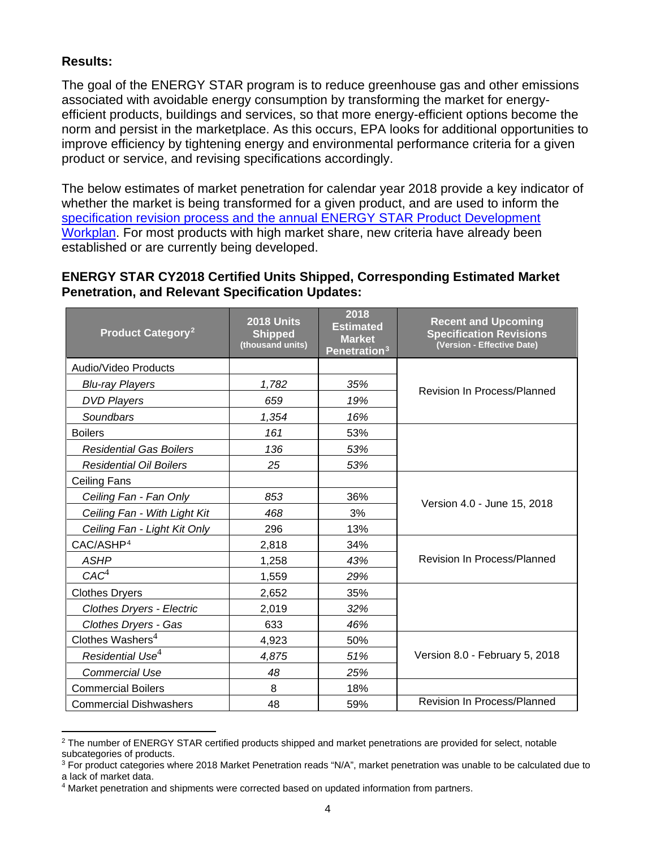## **Results:**

The goal of the ENERGY STAR program is to reduce greenhouse gas and other emissions associated with avoidable energy consumption by transforming the market for energyefficient products, buildings and services, so that more energy-efficient options become the norm and persist in the marketplace. As this occurs, EPA looks for additional opportunities to improve efficiency by tightening energy and environmental performance criteria for a given product or service, and revising specifications accordingly.

The below estimates of market penetration for calendar year 2018 provide a key indicator of whether the market is being transformed for a given product, and are used to inform the specification revision process [and the annual ENERGY STAR Product Development](https://cmadmin.energystar.gov/partner_resources/product_specification_development_process)  [Workplan.](https://cmadmin.energystar.gov/partner_resources/product_specification_development_process) For most products with high market share, new criteria have already been established or are currently being developed.

#### **ENERGY STAR CY2018 Certified Units Shipped, Corresponding Estimated Market Penetration, and Relevant Specification Updates:**

| <b>Product Category<sup>2</sup></b> | <b>2018 Units</b><br><b>Shipped</b><br>(thousand units) | 2018<br><b>Estimated</b><br><b>Market</b><br>Penetration <sup>3</sup> | <b>Recent and Upcoming</b><br><b>Specification Revisions</b><br>(Version - Effective Date) |  |
|-------------------------------------|---------------------------------------------------------|-----------------------------------------------------------------------|--------------------------------------------------------------------------------------------|--|
| Audio/Video Products                |                                                         |                                                                       |                                                                                            |  |
| <b>Blu-ray Players</b>              | 1,782                                                   | 35%                                                                   | <b>Revision In Process/Planned</b>                                                         |  |
| <b>DVD Players</b>                  | 659                                                     | 19%                                                                   |                                                                                            |  |
| Soundbars                           | 1,354                                                   | 16%                                                                   |                                                                                            |  |
| <b>Boilers</b>                      | 161                                                     | 53%                                                                   |                                                                                            |  |
| <b>Residential Gas Boilers</b>      | 136                                                     | 53%                                                                   |                                                                                            |  |
| <b>Residential Oil Boilers</b>      | 25                                                      | 53%                                                                   |                                                                                            |  |
| <b>Ceiling Fans</b>                 |                                                         |                                                                       |                                                                                            |  |
| Ceiling Fan - Fan Only              | 853                                                     | 36%                                                                   | Version 4.0 - June 15, 2018                                                                |  |
| Ceiling Fan - With Light Kit        | 468                                                     | 3%                                                                    |                                                                                            |  |
| Ceiling Fan - Light Kit Only        | 296                                                     | 13%                                                                   |                                                                                            |  |
| CAC/ASHP <sup>4</sup>               | 2,818                                                   | 34%                                                                   | <b>Revision In Process/Planned</b>                                                         |  |
| <b>ASHP</b>                         | 1,258                                                   | 43%                                                                   |                                                                                            |  |
| CAC <sup>4</sup>                    | 1,559                                                   | 29%                                                                   |                                                                                            |  |
| <b>Clothes Dryers</b>               | 2,652                                                   | 35%                                                                   |                                                                                            |  |
| <b>Clothes Dryers - Electric</b>    | 2,019                                                   | 32%                                                                   |                                                                                            |  |
| Clothes Dryers - Gas                | 633                                                     | 46%                                                                   |                                                                                            |  |
| Clothes Washers <sup>4</sup>        | 4,923                                                   | 50%                                                                   |                                                                                            |  |
| Residential Use <sup>4</sup>        | 4,875                                                   | 51%                                                                   | Version 8.0 - February 5, 2018                                                             |  |
| <b>Commercial Use</b>               | 48                                                      | 25%                                                                   |                                                                                            |  |
| <b>Commercial Boilers</b>           | 8                                                       | 18%                                                                   |                                                                                            |  |
| <b>Commercial Dishwashers</b>       | 48                                                      | 59%                                                                   | Revision In Process/Planned                                                                |  |

<span id="page-3-0"></span><sup>&</sup>lt;sup>2</sup> The number of ENERGY STAR certified products shipped and market penetrations are provided for select, notable subcategories of products.

<span id="page-3-1"></span><sup>&</sup>lt;sup>3</sup> For product categories where 2018 Market Penetration reads "N/A", market penetration was unable to be calculated due to a lack of market data.

<span id="page-3-2"></span><sup>4</sup> Market penetration and shipments were corrected based on updated information from partners.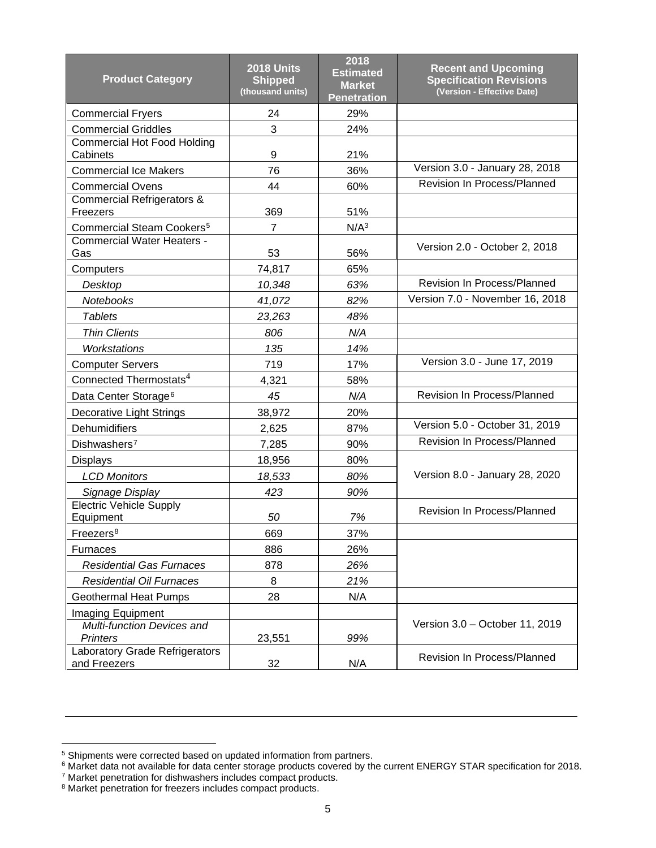| <b>Product Category</b>                               | <b>2018 Units</b><br><b>Shipped</b><br>(thousand units) | 2018<br><b>Estimated</b><br><b>Market</b><br><b>Penetration</b> | <b>Recent and Upcoming</b><br><b>Specification Revisions</b><br>(Version - Effective Date) |  |
|-------------------------------------------------------|---------------------------------------------------------|-----------------------------------------------------------------|--------------------------------------------------------------------------------------------|--|
| <b>Commercial Fryers</b>                              | 24                                                      | 29%                                                             |                                                                                            |  |
| <b>Commercial Griddles</b>                            | 3                                                       | 24%                                                             |                                                                                            |  |
| <b>Commercial Hot Food Holding</b><br>Cabinets        | 9                                                       | 21%                                                             |                                                                                            |  |
| <b>Commercial Ice Makers</b>                          | 76                                                      | 36%                                                             | Version 3.0 - January 28, 2018                                                             |  |
| <b>Commercial Ovens</b>                               | 44                                                      | 60%                                                             | Revision In Process/Planned                                                                |  |
| <b>Commercial Refrigerators &amp;</b>                 |                                                         |                                                                 |                                                                                            |  |
| Freezers                                              | 369                                                     | 51%                                                             |                                                                                            |  |
| Commercial Steam Cookers <sup>5</sup>                 | 7                                                       | N/A <sup>3</sup>                                                |                                                                                            |  |
| <b>Commercial Water Heaters -</b><br>Gas              | 53                                                      | 56%                                                             | Version 2.0 - October 2, 2018                                                              |  |
| Computers                                             | 74,817                                                  | 65%                                                             |                                                                                            |  |
| Desktop                                               | 10,348                                                  | 63%                                                             | Revision In Process/Planned                                                                |  |
| Notebooks                                             | 41,072                                                  | 82%                                                             | Version 7.0 - November 16, 2018                                                            |  |
| <b>Tablets</b>                                        | 23,263                                                  | 48%                                                             |                                                                                            |  |
| <b>Thin Clients</b>                                   | 806                                                     | N/A                                                             |                                                                                            |  |
| Workstations                                          | 135                                                     | 14%                                                             |                                                                                            |  |
| <b>Computer Servers</b>                               | 719                                                     | 17%                                                             | Version 3.0 - June 17, 2019                                                                |  |
| Connected Thermostats <sup>4</sup>                    | 4,321                                                   | 58%                                                             |                                                                                            |  |
| Data Center Storage <sup>6</sup>                      | 45                                                      | N/A                                                             | Revision In Process/Planned                                                                |  |
| Decorative Light Strings                              | 38,972                                                  | 20%                                                             |                                                                                            |  |
| Dehumidifiers                                         | 2,625                                                   | 87%                                                             | Version 5.0 - October 31, 2019                                                             |  |
| Dishwashers <sup>7</sup>                              | 7,285                                                   | 90%                                                             | Revision In Process/Planned                                                                |  |
| <b>Displays</b>                                       | 18,956                                                  | 80%                                                             |                                                                                            |  |
| <b>LCD Monitors</b>                                   | 18,533                                                  | 80%                                                             | Version 8.0 - January 28, 2020                                                             |  |
| Signage Display                                       | 423                                                     | 90%                                                             |                                                                                            |  |
| <b>Electric Vehicle Supply</b><br>Equipment           | 50                                                      | 7%                                                              | Revision In Process/Planned                                                                |  |
| Freezers <sup>8</sup>                                 | 669                                                     | 37%                                                             |                                                                                            |  |
| <b>Furnaces</b>                                       | 886                                                     | 26%                                                             |                                                                                            |  |
| <b>Residential Gas Furnaces</b>                       | 878                                                     | 26%                                                             |                                                                                            |  |
| <b>Residential Oil Furnaces</b>                       | 8                                                       | 21%                                                             |                                                                                            |  |
| <b>Geothermal Heat Pumps</b>                          | 28                                                      | N/A                                                             |                                                                                            |  |
| Imaging Equipment                                     |                                                         |                                                                 |                                                                                            |  |
| <b>Multi-function Devices and</b>                     |                                                         |                                                                 | Version 3.0 - October 11, 2019                                                             |  |
| <b>Printers</b>                                       | 23,551                                                  | 99%                                                             |                                                                                            |  |
| <b>Laboratory Grade Refrigerators</b><br>and Freezers | 32                                                      | N/A                                                             | <b>Revision In Process/Planned</b>                                                         |  |

<span id="page-4-0"></span><sup>&</sup>lt;sup>5</sup> Shipments were corrected based on updated information from partners.

<span id="page-4-2"></span><span id="page-4-1"></span> $^6$  Market data not available for data center storage products covered by the current ENERGY STAR specification for 2018.

<sup>&</sup>lt;sup>7</sup> Market penetration for dishwashers includes compact products.

<span id="page-4-3"></span><sup>&</sup>lt;sup>8</sup> Market penetration for freezers includes compact products.